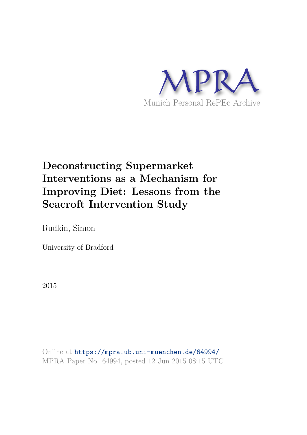

# **Deconstructing Supermarket Interventions as a Mechanism for Improving Diet: Lessons from the Seacroft Intervention Study**

Rudkin, Simon

University of Bradford

2015

Online at https://mpra.ub.uni-muenchen.de/64994/ MPRA Paper No. 64994, posted 12 Jun 2015 08:15 UTC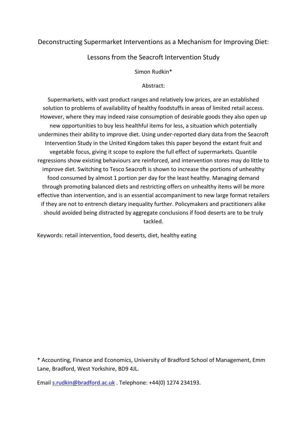# Deconstructing Supermarket Interventions as a Mechanism for Improving Diet:

## Lessons from the Seacroft Intervention Study

Simon Rudkin\*

#### Abstract:

Supermarkets, with vast product ranges and relatively low prices, are an established solution to problems of availability of healthy foodstuffs in areas of limited retail access. However, where they may indeed raise consumption of desirable goods they also open up new opportunities to buy less healthful items for less, a situation which potentially undermines their ability to improve diet. Using under-reported diary data from the Seacroft Intervention Study in the United Kingdom takes this paper beyond the extant fruit and vegetable focus, giving it scope to explore the full effect of supermarkets. Quantile regressions show existing behaviours are reinforced, and intervention stores may do little to improve diet. Switching to Tesco Seacroft is shown to increase the portions of unhealthy food consumed by almost 1 portion per day for the least healthy. Managing demand through promoting balanced diets and restricting offers on unhealthy items will be more effective than intervention, and is an essential accompaniment to new large format retailers if they are not to entrench dietary inequality further. Policymakers and practitioners alike should avoided being distracted by aggregate conclusions if food deserts are to be truly tackled.

Keywords: retail intervention, food deserts, diet, healthy eating

\* Accounting, Finance and Economics, University of Bradford School of Management, Emm Lane, Bradford, West Yorkshire, BD9 4JL.

Email [s.rudkin@bradford.ac.uk](mailto:s.rudkin@bradford.ac.uk) . Telephone: +44(0) 1274 234193.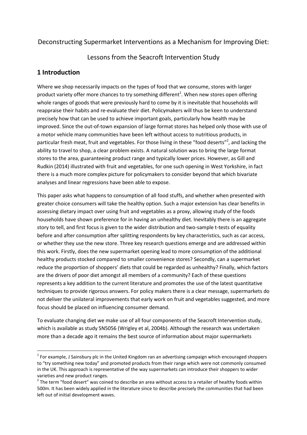# Deconstructing Supermarket Interventions as a Mechanism for Improving Diet:

Lessons from the Seacroft Intervention Study

# **1 Introduction**

<u>.</u>

Where we shop necessarily impacts on the types of food that we consume, stores with larger product variety offer more chances to try something different<sup>1</sup>. When new stores open offering whole ranges of goods that were previously hard to come by it is inevitable that households will reappraise their habits and re-evaluate their diet. Policymakers will thus be keen to understand precisely how that can be used to achieve important goals, particularly how health may be improved. Since the out-of-town expansion of large format stores has helped only those with use of a motor vehicle many communities have been left without access to nutritious products, in particular fresh meat, fruit and vegetables. For those living in these "food deserts"<sup>2</sup>, and lacking the ability to travel to shop, a clear problem exists. A natural solution was to bring the large format stores to the area, guaranteeing product range and typically lower prices. However, as Gill and Rudkin (2014) illustrated with fruit and vegetables, for one such opening in West Yorkshire, in fact there is a much more complex picture for policymakers to consider beyond that which bivariate analyses and linear regressions have been able to expose.

This paper asks what happens to consumption of all food stuffs, and whether when presented with greater choice consumers will take the healthy option. Such a major extension has clear benefits in assessing dietary impact over using fruit and vegetables as a proxy, allowing study of the foods households have shown preference for in having an unhealthy diet. Inevitably there is an aggregate story to tell, and first focus is given to the wider distribution and two-sample t-tests of equality before and after consumption after splitting respondents by key characteristics, such as car access, or whether they use the new store. Three key research questions emerge and are addressed within this work. Firstly, does the new supermarket opening lead to more consumption of the additional healthy products stocked compared to smaller convenience stores? Secondly, can a supermarket reduce the proportion of shoppers' diets that could be regarded as unhealthy? Finally, which factors are the drivers of poor diet amongst all members of a community? Each of these questions represents a key addition to the current literature and promotes the use of the latest quantitative techniques to provide rigorous answers. For policy makers there is a clear message, supermarkets do not deliver the unilateral improvements that early work on fruit and vegetables suggested, and more focus should be placed on influencing consumer demand.

To evaluate changing diet we make use of all four components of the Seacroft Intervention study, which is available as study SN5056 (Wrigley et al, 2004b). Although the research was undertaken more than a decade ago it remains the best source of information about major supermarkets

 $1$  For example, J Sainsbury plc in the United Kingdom ran an advertising campaign which encouraged shoppers to "try something new today" and promoted products from their range which were not commonly consumed in the UK. This approach is representative of the way supermarkets can introduce their shoppers to wider varieties and new product ranges.

 $2$  The term "food desert" was coined to describe an area without access to a retailer of healthy foods within 500m. It has been widely applied in the literature since to describe precisely the communities that had been left out of initial development waves.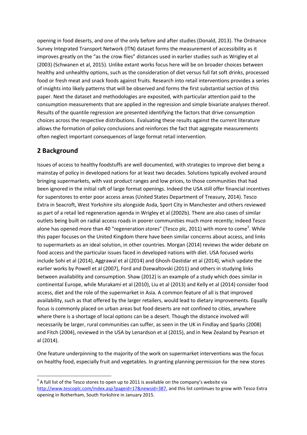opening in food deserts, and one of the only before and after studies (Donald, 2013). The Ordnance Survey Integrated Transport Network (ITN) dataset forms the measurement of accessibility as it improves greatly on the "as the crow flies" distances used in earlier studies such as Wrigley et al (2003) (Schwanen et al, 2015). Unlike extant works focus here will be on broader choices between healthy and unhealthy options, such as the consideration of diet versus full fat soft drinks, processed food or fresh meat and snack foods against fruits. Research into retail interventions provides a series of insights into likely patterns that will be observed and forms the first substantial section of this paper. Next the dataset and methodologies are exposited, with particular attention paid to the consumption measurements that are applied in the regression and simple bivariate analyses thereof. Results of the quantile regression are presented identifying the factors that drive consumption choices across the respective distributions. Evaluating these results against the current literature allows the formation of policy conclusions and reinforces the fact that aggregate measurements often neglect important consequences of large format retail intervention.

# **2 Background**

-

Issues of access to healthy foodstuffs are well documented, with strategies to improve diet being a mainstay of policy in developed nations for at least two decades. Solutions typically evolved around bringing supermarkets, with vast product ranges and low prices, to those communities that had been ignored in the initial raft of large format openings. Indeed the USA still offer financial incentives for superstores to enter poor access areas (United States Department of Treasury, 2014). Tesco Extra in Seacroft, West Yorkshire sits alongside Asda, Sport City in Manchester and others reviewed as part of a retail led regeneration agenda in Wrigley et al (2002b). There are also cases of similar outlets being built on radial access roads in poorer communities much more recently; indeed Tesco alone has opened more than 40 "regeneration stores" (Tesco plc, 2011) with more to come<sup>3</sup>. While this paper focuses on the United Kingdom there have been similar concerns about access, and links to supermarkets as an ideal solution, in other countries. Morgan (2014) reviews the wider debate on food access and the particular issues faced in developed nations with diet. USA focused works include Sohi et al (2014), Aggrawal et al (2014) and Ghosh-Dastidar et al (2014), which update the earlier works by Powell et al (2007), Ford and Dzewaltovski (2011) and others in studying links between availability and consumption. Shaw (2012) is an example of a study which does similar in continental Europe, while Murakami et al (2010), Liu et al (2013) and Kelly et al (2014) consider food access, diet and the role of the supermarket in Asia. A common feature of all is that improved availability, such as that offered by the larger retailers, would lead to dietary improvements. Equally focus is commonly placed on urban areas but food deserts are not confined to cities, anywhere where there is a shortage of local options can be a desert. Though the distance involved will necessarily be larger, rural communities can suffer, as seen in the UK in Findlay and Sparks (2008) and Fitch (2004), reviewed in the USA by Lenardson et al (2015), and in New Zealand by Pearson et al (2014).

One feature underpinning to the majority of the work on supermarket interventions was the focus on healthy food, especially fruit and vegetables. In granting planning permission for the new stores

 $3$  A full list of the Tesco stores to open up to 2011 is available on the company's website via [http://www.tescoplc.com/index.asp?pageid=17&newsid=387,](http://www.tescoplc.com/index.asp?pageid=17&newsid=387) and this list continues to grow with Tesco Extra opening in Rotherham, South Yorkshire in January 2015.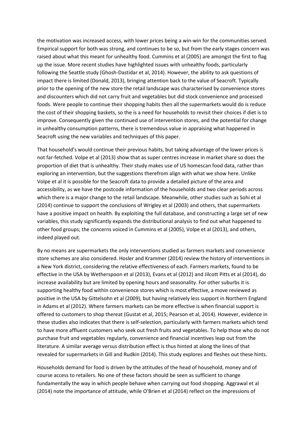the motivation was increased access, with lower prices being a win-win for the communities served. Empirical support for both was strong, and continues to be so, but from the early stages concern was raised about what this meant for unhealthy food. Cummins et al (2005) are amongst the first to flag up the issue. More recent studies have highlighted issues with unhealthy foods, particularly following the Seattle study (Ghosh-Dastidar et al, 2014). However, the ability to ask questions of impact there is limited (Donald, 2013), bringing attention back to the value of Seacroft. Typically prior to the opening of the new store the retail landscape was characterised by convenience stores and discounters which did not carry fruit and vegetables but did stock convenience and processed foods. Were people to continue their shopping habits then all the supermarkets would do is reduce the cost of their shopping baskets, so the is a need for households to revisit their choices if diet is to improve. Consequently given the continued use of intervention stores, and the potential for change in unhealthy consumption patterns, there is tremendous value in appraising what happened in Seacroft using the new variables and techniques of this paper.

That household's would continue their previous habits, but taking advantage of the lower prices is not far-fetched. Volpe et al (2013) show that as super centres increase in market share so does the proportion of diet that is unhealthy. Their study makes use of US homescan food data, rather than exploring an intervention, but the suggestions therefrom align with what we show here. Unlike Volpe et al it is possible for the Seacroft data to provide a detailed picture of the area and accessibility, as we have the postcode information of the households and two clear periods across which there is a major change to the retail landscape. Meanwhile, other studies such as Sohi et al (2014) continue to support the conclusions of Wrigley et al (2003) and others, that supermarkets have a positive impact on health. By exploiting the full database, and constructing a large set of new variables, this study significantly expands the distributional analysis to find out what happened to other food groups; the concerns voiced in Cummins et al (2005), Volpe et al (2013), and others, indeed played out.

By no means are supermarkets the only interventions studied as farmers markets and convenience store schemes are also considered. Hosler and Krammer (2014) review the history of interventions in a New York district, considering the relative effectiveness of each. Farmers markets, found to be effective in the USA by Wetherspoon et al (2013), Evans et al (2012) and Jilcott Pitts et al (2014), do increase availability but are limited by opening hours and seasonality. For other suburbs it is supporting healthy food within convenience stores which is most effective, a move reviewed as positive in the USA by Gittelsohn et al (2009), but having relatively less support in Northern England in Adams et al (2012). Where farmers markets can be more effective is when financial support is offered to customers to shop thereat (Gustat et al, 2015; Pearson et al, 2014). However, evidence in these studies also indicates that there is self-selection, particularly with farmers markets which tend to have more affluent customers who seek out fresh fruits and vegetables. To help those who do not purchase fruit and vegetables regularly, convenience and financial incentives leap out from the literature. A similar average versus distribution effect is thus hinted at along the lines of that revealed for supermarkets in Gill and Rudkin (2014). This study explores and fleshes out these hints.

Households demand for food is driven by the attitudes of the head of household, money and of course access to retailers. No one of these factors should be seen as sufficient to change fundamentally the way in which people behave when carrying out food shopping. Aggrawal et al (2014) note the importance of attitude, while O'Brien et al (2014) reflect on the impressions of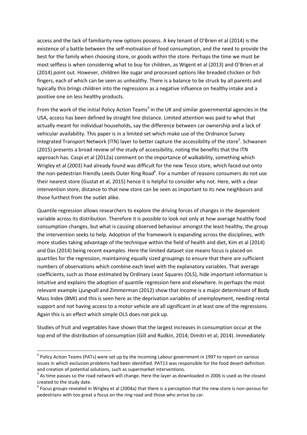access and the lack of familiarity new options possess. A key tenant of O'Brien et al (2014) is the existence of a battle between the self-motivation of food consumption, and the need to provide the best for the family when choosing store, or goods within the store. Perhaps the time we must be most selfless is when considering what to buy for children, as Wigent et al (2013) and O'Brien et al (2014) point out. However, children like sugar and processed options like breaded chicken or fish fingers, each of which can be seen as unhealthy. There is a balance to be struck by all parents and typically this brings children into the regressions as a negative influence on healthy intake and a positive one on less healthy products.

From the work of the initial Policy Action Teams<sup>4</sup> in the UK and similar governmental agencies in the USA, access has been defined by straight line distance. Limited attention was paid to what that actually meant for individual households, say the difference between car ownership and a lack of vehicular availability. This paper is in a limited set which make use of the Ordnance Survey Integrated Transport Network (ITN) layer to better capture the accessibility of the store<sup>5</sup>. Schwanen (2015) presents a broad review of the study of accessibility, noting the benefits that the ITN approach has. Caspi et al (2012a) comment on the importance of walkability, something which Wrigley et al (2003) had already found was difficult for the new Tesco store, which faced out onto the non-pedestrian friendly Leeds Outer Ring Road<sup>6</sup>. For a number of reasons consumers do not use their nearest store (Gustat et al, 2015) hence it is helpful to consider why not. Here, with a clear intervention store, distance to that new store can be seen as important to its new neighbours and those furthest from the outlet alike.

Quantile regression allows researchers to explore the driving forces of changes in the dependent variable across its distribution. Therefore it is possible to look not only at how average healthy food consumption changes, but what is causing observed behaviour amongst the least healthy, the group the intervention seeks to help. Adoption of the framework is expanding across the disciplines, with more studies taking advantage of the technique within the field of health and diet, Kim et al (2014) and Das (2014) being recent examples. Here the limited dataset size means focus is placed on quartiles for the regression, maintaining equally sized groupings to ensure that there are sufficient numbers of observations which combine each level with the explanatory variables. That average coefficients, such as those estimated by Ordinary Least Squares (OLS), hide important information is intuitive and explains the adoption of quantile regression here and elsewhere. In perhaps the most relevant example Ljungvall and Zimmerman (2012) show that income is a major determinant of Body Mass Index (BMI) and this is seen here as the deprivation variables of unemployment, needing rental support and not having access to a motor vehicle are all significant in at least one of the regressions. Again this is an effect which simple OLS does not pick up.

Studies of fruit and vegetables have shown that the largest increases in consumption occur at the top end of the distribution of consumption (Gill and Rudkin, 2014; Dimitri et al, 2014). Immediately

.<br>-

<sup>&</sup>lt;sup>4</sup> Policy Action Teams (PATs) were set up by the incoming Labour government in 1997 to report on various issues in which exclusion problems had been identified. PAT13 was responsible for the food desert definition and creation of potential solutions, such as supermarket interventions.

<sup>&</sup>lt;sup>5</sup> As time passes so the road network will change. Here the layer as downloaded in 2006 is used as the closest created to the study date.

 $^6$  Focus groups revealed in Wrigley et al (2004a) that there is a perception that the new store is non-porous for pedestrians with too great a focus on the ring road and those who arrive by car.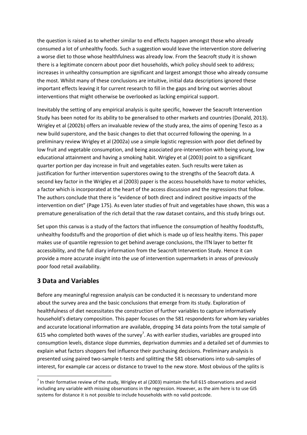the question is raised as to whether similar to end effects happen amongst those who already consumed a lot of unhealthy foods. Such a suggestion would leave the intervention store delivering a worse diet to those whose healthfulness was already low. From the Seacroft study it is shown there is a legitimate concern about poor diet households, which policy should seek to address; increases in unhealthy consumption are significant and largest amongst those who already consume the most. Whilst many of these conclusions are intuitive, initial data descriptions ignored these important effects leaving it for current research to fill in the gaps and bring out worries about interventions that might otherwise be overlooked as lacking empirical support.

Inevitably the setting of any empirical analysis is quite specific, however the Seacroft Intervention Study has been noted for its ability to be generalised to other markets and countries (Donald, 2013). Wrigley et al (2002b) offers an invaluable review of the study area, the aims of opening Tesco as a new build superstore, and the basic changes to diet that occurred following the opening. In a preliminary review Wrigley et al (2002a) use a simple logistic regression with poor diet defined by low fruit and vegetable consumption, and being associated pre-intervention with being young, low educational attainment and having a smoking habit. Wrigley et al (2003) point to a significant quarter portion per day increase in fruit and vegetables eaten. Such results were taken as justification for further intervention superstores owing to the strengths of the Seacroft data. A second key factor in the Wrigley et al (2003) paper is the access households have to motor vehicles, a factor which is incorporated at the heart of the access discussion and the regressions that follow. The authors conclude that there is "evidence of both direct and indirect positive impacts of the intervention on diet" (Page 175). As even later studies of fruit and vegetables have shown, this was a premature generalisation of the rich detail that the raw dataset contains, and this study brings out.

Set upon this canvas is a study of the factors that influence the consumption of healthy foodstuffs, unhealthy foodstuffs and the proportion of diet which is made up of less healthy items. This paper makes use of quantile regression to get behind average conclusions, the ITN layer to better fit accessibility, and the full diary information from the Seacroft Intervention Study. Hence it can provide a more accurate insight into the use of intervention supermarkets in areas of previously poor food retail availability.

## **3 Data and Variables**

-

Before any meaningful regression analysis can be conducted it is necessary to understand more about the survey area and the basic conclusions that emerge from its study. Exploration of healthfulness of diet necessitates the construction of further variables to capture informatively household's dietary composition. This paper focuses on the 581 respondents for whom key variables and accurate locational information are available, dropping 34 data points from the total sample of 615 who completed both waves of the survey<sup>7</sup>. As with earlier studies, variables are grouped into consumption levels, distance slope dummies, deprivation dummies and a detailed set of dummies to explain what factors shoppers feel influence their purchasing decisions. Preliminary analysis is presented using paired two-sample t-tests and splitting the 581 observations into sub-samples of interest, for example car access or distance to travel to the new store. Most obvious of the splits is

 $^7$  In their formative review of the study, Wrigley et al (2003) maintain the full 615 observations and avoid including any variable with missing observations in the regression. However, as the aim here is to use GIS systems for distance it is not possible to include households with no valid postcode.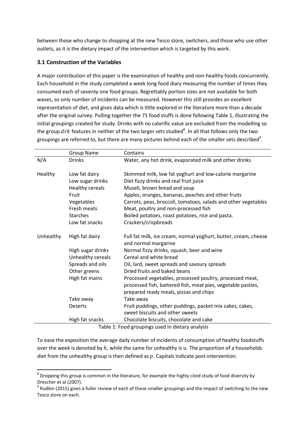between those who change to shopping at the new Tesco store, switchers, and those who use other outlets, as it is the dietary impact of the intervention which is targeted by this work.

#### **3.1 Construction of the Variables**

A major contribution of this paper is the examination of healthy and non-healthy foods concurrently. Each household in the study completed a week long food diary measuring the number of times they consumed each of seventy one food groups. Regrettably portion sizes are not available for both waves, so only number of incidents can be measured. However this still provides an excellent representation of diet, and gives data which is little explored in the literature more than a decade after the original survey. Pulling together the 71 food stuffs is done following Table 1, illustrating the initial groupings created for study. Drinks with no calorific value are excluded from the modelling so the group  $drk$  features in neither of the two larger sets studied<sup>8</sup>. In all that follows only the two groupings are referred to, but there are many pictures behind each of the smaller sets described<sup>9</sup>.

|                                                  | <b>Group Name</b> | Contains                                                                                               |  |  |  |  |  |  |  |
|--------------------------------------------------|-------------------|--------------------------------------------------------------------------------------------------------|--|--|--|--|--|--|--|
| N/A                                              | <b>Drinks</b>     | Water, any hot drink, evaporated milk and other drinks                                                 |  |  |  |  |  |  |  |
|                                                  |                   |                                                                                                        |  |  |  |  |  |  |  |
| Healthy                                          | Low fat dairy     | Skimmed milk, low fat yoghurt and low-calorie margarine                                                |  |  |  |  |  |  |  |
|                                                  | Low sugar drinks  | Diet fizzy drinks and real fruit juice                                                                 |  |  |  |  |  |  |  |
|                                                  | Healthy cereals   | Museli, brown bread and soup                                                                           |  |  |  |  |  |  |  |
|                                                  | Fruit             | Apples, oranges, bananas, peaches and other fruits                                                     |  |  |  |  |  |  |  |
|                                                  | Vegetables        | Carrots, peas, broccoli, tomatoes, salads and other vegetables                                         |  |  |  |  |  |  |  |
|                                                  | Fresh meats       | Meat, poultry and non-processed fish                                                                   |  |  |  |  |  |  |  |
|                                                  | <b>Starches</b>   | Boiled potatoes, roast potatoes, rice and pasta.                                                       |  |  |  |  |  |  |  |
|                                                  | Low fat snacks    | Crackers/crispbreads                                                                                   |  |  |  |  |  |  |  |
| Unhealthy                                        | High fat dairy    | Full fat milk, ice cream, normal yoghurt, butter, cream, cheese<br>and normal margarine                |  |  |  |  |  |  |  |
|                                                  | High sugar drinks | Normal fizzy drinks, squash, beer and wine                                                             |  |  |  |  |  |  |  |
|                                                  | Unhealthy cereals | Cereal and white bread                                                                                 |  |  |  |  |  |  |  |
|                                                  | Spreads and oils  | Oil, lard, sweet spreads and savoury spreads                                                           |  |  |  |  |  |  |  |
|                                                  | Other greens      | Dried fruits and baked beans                                                                           |  |  |  |  |  |  |  |
|                                                  | High fat mains    | Processed vegetables, processed poultry, processed meat,                                               |  |  |  |  |  |  |  |
|                                                  |                   | processed fish, battered fish, meat pies, vegetable pasties,<br>prepared ready meals, pizzas and chips |  |  |  |  |  |  |  |
|                                                  | Take away         | Take away                                                                                              |  |  |  |  |  |  |  |
|                                                  | <b>Deserts</b>    | Fruit puddings, other puddings, packet mix cakes, cakes,                                               |  |  |  |  |  |  |  |
|                                                  |                   | sweet biscuits and other sweets                                                                        |  |  |  |  |  |  |  |
|                                                  | High fat snacks   | Chocolate biscuits, chocolate and cake                                                                 |  |  |  |  |  |  |  |
| Table 1: Food groupings used in dietary analysis |                   |                                                                                                        |  |  |  |  |  |  |  |

To ease the exposition the average daily number of incidents of consumption of healthy foodstuffs over the week is denoted by  $h$ , while the same for unhealthy is  $u$ . The proportion of a households diet from the unhealthy group is then defined as  $p$ . Capitals indicate post-intervention.

<sup>&</sup>lt;u>.</u>  $^8$  Dropping this group is common in the literature, for example the highly cited study of food diversity by Drescher et al (2007).

 $9$  Rudkin (2015) gives a fuller review of each of these smaller groupings and the impact of switching to the new Tesco store on each.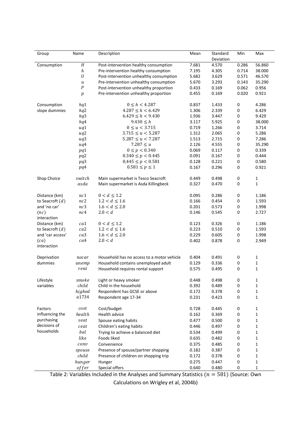| Group               | Name             | Description                                | Mean  | Standard<br>Deviation | Min   | Max          |
|---------------------|------------------|--------------------------------------------|-------|-----------------------|-------|--------------|
| Consumption         | H                | Post-intervention healthy consumption      | 7.681 | 4.570                 | 0.286 | 56.860       |
|                     | h                | Pre-intervention healthy consumption       | 7.195 | 4.305                 | 0.714 | 38.000       |
|                     | $\cal U$         | Post-intervention unhealthy consumption    | 5.682 | 3.629                 | 0.571 | 46.570       |
|                     | и                | Pre-intervention unhealthy consumption     | 5.670 | 3.293                 | 0.143 | 35.290       |
|                     | $\boldsymbol{P}$ | Post-intervention unhealthy proportion     | 0.433 | 0.169                 | 0.062 | 0.956        |
|                     | $\boldsymbol{p}$ | Pre-intervention unhealthy proportion      | 0.455 | 0.169                 | 0.020 | 0.921        |
|                     |                  |                                            |       |                       |       |              |
| Consumption         | hq1              | $0 \leq h < 4.287$                         | 0.837 | 1.433                 | 0     | 4.286        |
| slope dummies       | hq2              | $4.287 \leq h < 6.429$                     | 1.306 | 2.339                 | 0     | 6.429        |
|                     | hq3              | $6.429 \le h < 9.430$                      | 1.936 | 3.447                 | 0     | 9.429        |
|                     | hq4              | 9.430 < h                                  | 3.117 | 5.925                 | 0     | 38.000       |
|                     | uq1              | $0 \le u < 3.715$                          | 0.719 | 1.266                 | 0     | 3.714        |
|                     | uq2              | $3.715 \le u \le 5.287$                    | 1.312 | 2.065                 | 0     | 5.286        |
|                     | uq3              | $5.287 \leq u \leq 7.287$                  | 1.513 | 2.715                 | 0     | 7.286        |
|                     | uq4              | $7.287 \le u$                              | 2.126 | 4.555                 | 0     | 35.290       |
|                     | $pq1$            | $0 \le p < 0.340$                          | 0.069 | 0.117                 | 0     | 0.339        |
|                     | pq2              | $0.340 \le p < 0.445$                      | 0.091 | 0.167                 | 0     | 0.444        |
|                     | pq3              | $0,445 \leq p < 0.581$                     | 0.128 | 0.221                 | 0     | 0.580        |
|                     | pq4              | $0.581 \le p \le 1$                        | 0.167 | 0.296                 | 0     | 0.921        |
| Shop Choice         | switch           | Main supermarket is Tesco Seacroft         | 0.449 | 0.498                 | 0     | $\mathbf{1}$ |
|                     | asda             | Main supermarket is Asda Killingbeck       | 0.327 | 0.470                 | 0     | $\mathbf{1}$ |
|                     |                  |                                            |       |                       |       |              |
| Distance (km)       | nc1              | $0 < d \leq 1.2$                           | 0.095 | 0.286                 | 0     | 1.186        |
| to Seacroft $(d)$   | nc2              | $1.2 < d \leq 1.6$                         | 0.166 | 0.454                 | 0     | 1.593        |
| and 'no car'        | nc3              | $1.6 < d \leq 2.0$                         | 0.201 | 0.573                 | 0     | 1.998        |
| (nc)<br>interaction | nc4              | 2.0 < d                                    | 0.146 | 0.545                 | 0     | 2.727        |
| Distance (km)       | ca1              | $0 < d \leq 1.2$                           | 0.123 | 0.326                 | 0     | 1.186        |
| to Seacroft $(d)$   | ca2              | $1.2 < d \leq 1.6$                         | 0.223 | 0.510                 | 0     | 1.593        |
| and 'car access'    | ca3              | $1.6 < d \leq 2.0$                         | 0.229 | 0.605                 | 0     | 1.998        |
| (ca)                | ca4              | 2.0 < d                                    | 0.402 | 0.878                 | 0     | 2.949        |
| interaction         |                  |                                            |       |                       |       |              |
| Deprivation         | nocar            | Household has no access to a motor vehicle | 0.404 | 0.491                 | 0     | 1            |
| dummies             | unemp            | Household contains unemployed adult        | 0.129 | 0.336                 | 0     | 1            |
|                     | rent             | Household requires rental support          | 0.575 | 0.495                 | 0     | $\mathbf{1}$ |
|                     |                  |                                            |       |                       |       |              |
| Lifestyle           | smoke            | Light or heavy smoker                      | 0.448 | 0.498                 | 0     | 1            |
| variables           | child            | Child in the household                     | 0.392 | 0.489                 | 0     | 1            |
|                     | highed           | Respondent has GCSE or above               | 0.172 | 0.378                 | 0     | 1            |
|                     | a1734            | Respondent age 17-34                       | 0.231 | 0.423                 | 0     | 1            |
| Factors             | cost             | Cost/budget                                | 0.728 | 0.445                 | 0     | 1            |
| influencing the     | health           | Health advice                              | 0.162 | 0.369                 | 0     | 1            |
| purchasing          | seat             | Spouse eating habits                       | 0.477 | 0.500                 | 0     | 1            |
| decisions of        | ceat             | Children's eating habits                   | 0.446 | 0.497                 | 0     | 1            |
| households          | bal              | Trying to achieve a balanced diet          | 0.534 | 0.499                 | 0     | 1            |
|                     | like             | Foods liked                                | 0.635 | 0.482                 | 0     | 1            |
|                     | conv             | Convenience                                | 0.375 | 0.485                 | 0     | 1            |
|                     | spouse           | Presence of spouse/partner shopping        | 0.182 | 0.387                 | 0     | 1            |
|                     | child            | Presence of children on shopping trip      | 0.172 | 0.378                 | 0     | 1            |
|                     | hunger           | Hunger                                     | 0.275 | 0.447                 | 0     | 1            |
|                     | offer            | Special offers                             | 0.640 | 0.480                 | 0     | 1            |

Table 2: Variables Included in the Analyses and Summary Statistics  $(n = 581)$  (Source: Own

Calculations on Wrigley et al, 2004b)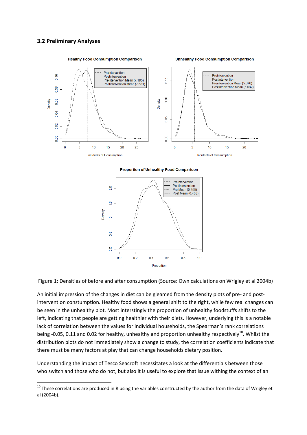#### **3.2 Preliminary Analyses**

<u>.</u>



**Proportion of Unhealthy Food Comparison** 



Figure 1: Densities of before and after consumption (Source: Own calculations on Wrigley et al 2004b)

An initial impression of the changes in diet can be gleamed from the density plots of pre- and postintervention constumption. Healthy food shows a general shift to the right, while few real changes can be seen in the unhealthy plot. Most interstingly the proportion of unhealthy foodstuffs shifts to the left, indicating that people are getting healthier with their diets. However, underlying this is a notable lack of correlation between the values for individual households, the Spearman's rank correlations being -0.05, 0.11 and 0.02 for healthy, unhealthy and proportion unhealthy respectively<sup>10</sup>. Whilst the distribution plots do not immediately show a change to study, the correlation coefficients indicate that there must be many factors at play that can change households dietary position.

Understanding the impact of Tesco Seacroft necessitates a look at the differentials between those who switch and those who do not, but also it is useful to explore that issue withing the context of an

 $10$  These correlations are produced in R using the variables constructed by the author from the data of Wrigley et al (2004b).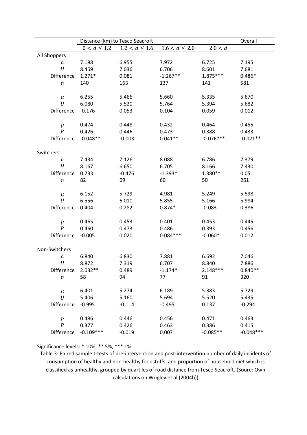|                                    | Distance (km) to Tesco Seacroft | Overall            |                    |             |             |
|------------------------------------|---------------------------------|--------------------|--------------------|-------------|-------------|
|                                    | $0 < d \leq 1.2$                | $1.2 < d \leq 1.6$ | $1.6 < d \leq 2.0$ | 2.0 < d     |             |
| All Shoppers                       |                                 |                    |                    |             |             |
| $\boldsymbol{h}$                   | 7.188                           | 6.955              | 7.972              | 6.725       | 7.195       |
| H                                  | 8.459                           | 7.036              | 6.706              | 8.601       | 7.681       |
| Difference                         | $1.271*$                        | 0.081              | $-1.267**$         | $1.875***$  | $0.486*$    |
| $\, n$                             | 140                             | 163                | 137                | 141         | 581         |
|                                    |                                 |                    |                    |             |             |
| $\boldsymbol{u}$                   | 6.255                           | 5.466              | 5.660              | 5.335       | 5.670       |
| U                                  | 6.080                           | 5.520              | 5.764              | 5.394       | 5.682       |
| Difference                         | $-0.176$                        | 0.053              | 0.104              | 0.059       | 0.012       |
|                                    |                                 |                    |                    |             |             |
| $\boldsymbol{p}$                   | 0.474                           | 0.448              | 0.432              | 0.464       | 0.455       |
| $\boldsymbol{P}$                   | 0.426                           | 0.446              | 0.473              | 0.388       | 0.433       |
| Difference                         | $-0.048**$                      | $-0.003$           | $0.041**$          | $-0.076***$ | $-0.021**$  |
|                                    |                                 |                    |                    |             |             |
| Switchers                          |                                 |                    |                    |             |             |
| $\boldsymbol{h}$                   | 7.434                           | 7.126              | 8.088              | 6.786       | 7.379       |
| H                                  | 8.167                           | 6.650              | 6.705              | 8.166       | 7.430       |
| Difference                         | 0.733                           | $-0.476$           | $-1.393*$          | 1.380**     | 0.051       |
| $\, n$                             | 82                              | 69                 | 60                 | 50          | 261         |
|                                    |                                 |                    |                    |             |             |
| $\boldsymbol{u}$                   | 6.152                           | 5.729              | 4.981              | 5.249       | 5.598       |
| U                                  | 6.556                           | 6.010              | 5.855              | 5.166       | 5.984       |
| Difference                         | 0.404                           | 0.282              | $0.874*$           | $-0.083$    | 0.386       |
|                                    |                                 |                    | 0.401              | 0.453       | 0.445       |
| $\boldsymbol{p}$<br>$\overline{P}$ | 0.465<br>0.460                  | 0.453<br>0.473     | 0.486              | 0.393       | 0.456       |
| Difference                         | $-0.005$                        | 0.020              | $0.084***$         | $-0.060*$   | 0.012       |
|                                    |                                 |                    |                    |             |             |
| Non-Switchers                      |                                 |                    |                    |             |             |
| $\boldsymbol{h}$                   | 6.840                           | 6.830              | 7.881              | 6.692       | 7.046       |
| H                                  | 8.872                           | 7.319              | 6.707              | 8.840       | 7.886       |
| <b>Difference</b>                  | $2.032**$                       | 0.489              | $-1.174*$          | $2.148***$  | $0.840**$   |
| $\,n$                              | 58                              | 94                 | 77                 | 91          | 320         |
|                                    |                                 |                    |                    |             |             |
| $\boldsymbol{u}$                   | 6.401                           | 5.274              | 6.189              | 5.383       | 5.729       |
| U                                  | 5.406                           | 5.160              | 5.694              | 5.520       | 5.435       |
| Difference                         | $-0.995$                        | $-0.114$           | $-0.495$           | 0.137       | $-0.294$    |
|                                    |                                 |                    |                    |             |             |
| $\boldsymbol{p}$                   | 0.486                           | 0.446              | 0.456              | 0.471       | 0.463       |
| $\overline{P}$                     | 0.377                           | 0.426              | 0.463              | 0.386       | 0.415       |
| Difference                         | $-0.109***$                     | $-0.019$           | 0.007              | $-0.085**$  | $-0.048***$ |
|                                    |                                 |                    |                    |             |             |

Significance levels: \* 10%, \*\* 5%, \*\*\* 1%

Table 3: Paired sample t-tests of pre-intervention and post-intervention number of daily incidents of consumption of healthy and non-healthy foodstuffs, and proportion of household diet which is classified as unhealthy, grouped by quartiles of road distance from Tesco Seacroft. (Soure: Own calculations on Wrigley et al (2004b))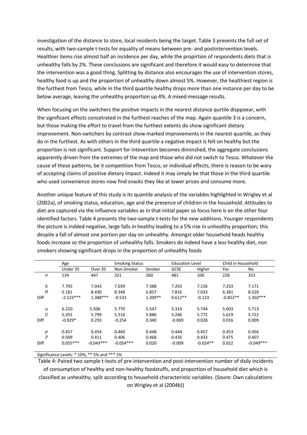investigation of the distance to store, local residents being the target. Table 3 presents the full set of results, with two-sample t-tests for equality of means between pre- and postintervention levels. Healthier items rise almost half an incidence per day, while the propirtion of respondents diets that is unhealthy falls by 2%. These conclusions are significant and therefore it would easy to determine that the intervention was a good thing. Splitting by distance also encourages the use of intervention stores, healthy food is up and the proportion of unhealthy down almost 5%. However, the healthiest region is the furthest from Tesco, while in the third quartile healthy drops more than one instance per day to be below average, leaving the unhealthy proportion up 4%. A mixed message results.

When focusing on the switchers the positive impacts in the nearest distance qurtile disppoear, with the significant effects concetrated in the furthest reaches of the map. Again quantile 3 is a concern, but those making the effort to travel from the furthest extents do show significant dietary improvement. Non-switchers by contrast show marked improvements in the nearest quartile, as they do in the furthest. As with others in the third quartile a negative impact is felt on healthy but the proportion is not significant. Support for intevention becomes diminshed, the aggregate conclusions apparently driven from the extremes of the map and those who did not switch to Tesco. Whatever the cause of these patterns, be it competition from Tesco, or individual effects, there is reason to be wary of accepting claims of positive dietary impact. Indeed it may simply be that those in the third quartile who used convenience stores now find snacks they like at lower prices and consume more.

Another unique feature of this study is its quantile analysis of the variables highlighted in Wrigley et al (2002a), of smoking status, education, age and the presence of children in the household. Attitudes to diet are captured via the influence variables as in that initial paper so focus here is on the other four identified factors. Table 4 presents the two-sample t-tests for the new additions. Younger respondents the picture is indded negative, large falls in healthy leading to a 5% rise in unhealthy proportion; this despite a fall of almost one portion per day on unhealthy. Amongst older household heads healthy foods increase so the proportion of unhealthy falls. Smokers do indeed have a less healthy diet, non smokers showing significant drops in the proportion of unhealthy foods

|                  | Age         |             |             | <b>Smoking Status</b> |             | <b>Education Level</b> |            | Child in Household |  |
|------------------|-------------|-------------|-------------|-----------------------|-------------|------------------------|------------|--------------------|--|
|                  | Under 35    | Over 35     | Non-Smoker  | Smoker                | <b>GCSE</b> | Higher                 | Yes        | No                 |  |
| $\boldsymbol{n}$ | 134         | 447         | 321         | 260                   | 481         | 100                    | 228        | 353                |  |
|                  |             |             |             |                       |             |                        |            |                    |  |
| h                | 7.705       | 7.043       | 7.039       | 7.388                 | 7.203       | 7.156                  | 7.233      | 7.171              |  |
| H                | 5.181       | 8.430       | 8.348       | 6.857                 | 7.816       | 7.033                  | 6.381      | 8.520              |  |
| <b>Diff</b>      | $-2.523***$ | $1.388***$  | $-0.531$    | $1.309**$             | $0.612**$   | $-0.123$               | $-0.852**$ | $1.350***$         |  |
|                  |             |             |             |                       |             |                        |            |                    |  |
| $\boldsymbol{u}$ | 6.220       | 5.506       | 5.770       | 5.547                 | 5.314       | 5.744                  | 5.603      | 5.713              |  |
| U                | 5.291       | 5.799       | 5.516       | 5.886                 | 5.246       | 5.772                  | 5.619      | 5.722              |  |
| <b>Diff</b>      | $-0.929*$   | 0.293       | $-0.254$    | 0.340                 | $-0.069$    | 0.028                  | 0.016      | 0.009              |  |
|                  |             |             |             |                       |             |                        |            |                    |  |
| p                | 0.457       | 0.454       | 0.460       | 0.448                 | 0.444       | 0.457                  | 0.453      | 0.456              |  |
| $\boldsymbol{P}$ | 0.509       | 0.411       | 0.406       | 0.468                 | 0.435       | 0.433                  | 0.475      | 0.407              |  |
| <b>Diff</b>      | $0.055***$  | $-0.043***$ | $-0.054***$ | 0.020                 | $-0.009$    | $-0.024**$             | 0.022      | $-0.049***$        |  |
|                  |             |             |             |                       |             |                        |            |                    |  |

Significance Levels: \* 10%, \*\* 5% and \*\*\* 1%

Table 4: Paired two sample t-tests of pre-intervention and post-intervention number of daily incidents of consumption of healthy and non-healthy foodstuffs, and proportion of household diet which is classified as unhealthy, split according to household characteristic variables. (Soure: Own calculations on Wrigley et al (2004b))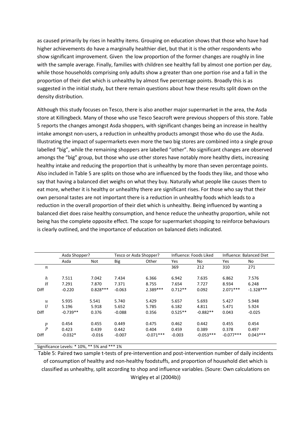as caused primarily by rises in healthy items. Grouping on education shows that those who have had higher achievements do have a marginally healthier diet, but that it is the other respondents who show significant improvement. Given the low proportion of the former changes are roughly in line with the sample average. Finally, families with children see healthy fall by almost one portion per day, while those households comprising only adults show a greater than one portion rise and a fall in the proportion of their diet which is unhealthy by almost five percentage points. Broadly this is as suggested in the initial study, but there remain questions about how these results split down on the density distribution.

Although this study focuses on Tesco, there is also another major supermarket in the area, the Asda store at Killingbeck. Many of those who use Tesco Seacroft were previous shoppers of this store. Table 5 reports the changes amongst Asda shoppers, with significant changes being an increase in healthy intake amongst non-users, a reduction in unhealthy products amongst those who do use the Asda. Illustrating the impact of supermarkets even more the two big stores are combined into a single group labelled "big", while the remaining shoppers are labelled "other". No significant changes are observed amongs the "big" group, but those who use other stores have notably more healthy diets, increasing healthy intake and reducing the proportion that is unhealthy by more than seven percentage points. Also included in Table 5 are splits on those who are influenced by the foods they like, and those who say that having a balanced diet weighs on what they buy. Naturally what people like causes them to eat more, whether it is healthy or unhealthy there are significant rises. For those who say that their own personal tastes are not important there is a reduction in unhealthy foods which leads to a reduction in the overall proportion of their diet which is unhealthy. Being influenced by wanting a balanced diet does raise healthy consumption, and hence reduce the unheathy proportion, while not being has the complete opposite effect. The scope for supermarket shopping to reinforce behaviours is clearly outlined, and the importance of education on balanced diets indicated.

|                  | Asda Shopper? |            | Tesco or Asda Shopper? |             |           | Influence: Foods Liked | Influence: Balanced Diet |             |  |
|------------------|---------------|------------|------------------------|-------------|-----------|------------------------|--------------------------|-------------|--|
|                  | Asda          | <b>Not</b> | Big                    | Other       | Yes       | No                     | Yes                      | No          |  |
| $\boldsymbol{n}$ |               |            |                        |             | 369       | 212                    | 310                      | 271         |  |
| h                | 7.511         | 7.042      | 7.434                  | 6.366       | 6.942     | 7.635                  | 6.862                    | 7.576       |  |
| H                | 7.291         | 7.870      | 7.371                  | 8.755       | 7.654     | 7.727                  | 8.934                    | 6.248       |  |
| <b>Diff</b>      | $-0.220$      | $0.828***$ | $-0.063$               | $2.389***$  | $0.712**$ | 0.092                  | $2.071***$               | $-1.328***$ |  |
| $\boldsymbol{u}$ | 5.935         | 5.541      | 5.740                  | 5.429       | 5.657     | 5.693                  | 5.427                    | 5.948       |  |
| U                | 5.196         | 5.918      | 5.652                  | 5.785       | 6.182     | 4.811                  | 5.471                    | 5.924       |  |
| <b>Diff</b>      | $-0.739**$    | 0.376      | $-0.088$               | 0.356       | $0.525**$ | $-0.882**$             | 0.043                    | $-0.025$    |  |
| $\boldsymbol{p}$ | 0.454         | 0.455      | 0.449                  | 0.475       | 0.462     | 0.442                  | 0.455                    | 0.454       |  |
| $\boldsymbol{P}$ | 0.423         | 0.439      | 0.442                  | 0.404       | 0.459     | 0.389                  | 0.378                    | 0.497       |  |
| Diff             | $-0.032*$     | $-0.016$   | $-0.007$               | $-0.071***$ | $-0.003$  | $-0.053***$            | $-0.077***$              | $0.043***$  |  |

Significance Levels: \* 10%, \*\* 5% and \*\*\* 1%

Table 5: Paired two sample t-tests of pre-intervention and post-intervention number of daily incidents of consumption of healthy and non-healthy foodstuffs, and proportion of household diet which is classified as unhealthy, split according to shop and influence variables. (Soure: Own calculations on Wrigley et al (2004b))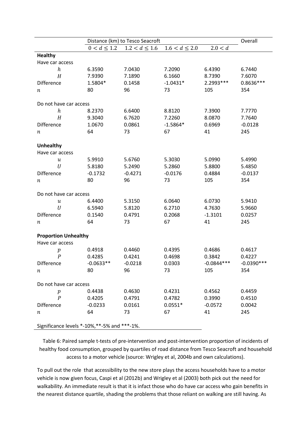|                                      |                                             | Overall            |                    |              |              |  |  |  |  |  |  |
|--------------------------------------|---------------------------------------------|--------------------|--------------------|--------------|--------------|--|--|--|--|--|--|
|                                      | $0 < d \leq 1.2$                            | $1.2 < d \leq 1.6$ | $1.6 < d \leq 2.0$ | 2.0 < d      |              |  |  |  |  |  |  |
| <b>Healthy</b>                       |                                             |                    |                    |              |              |  |  |  |  |  |  |
| Have car access                      |                                             |                    |                    |              |              |  |  |  |  |  |  |
| $\boldsymbol{h}$                     | 6.3590                                      | 7.0430             | 7.2090             | 6.4390       | 6.7440       |  |  |  |  |  |  |
| H                                    | 7.9390                                      | 7.1890             | 6.1660             | 8.7390       | 7.6070       |  |  |  |  |  |  |
| Difference                           | 1.5804*                                     | 0.1458             | $-1.0431*$         | 2.2993 ***   | 0.8636 ***   |  |  |  |  |  |  |
| $\it n$                              | 80                                          | 96                 | 73                 | 105          | 354          |  |  |  |  |  |  |
|                                      |                                             |                    |                    |              |              |  |  |  |  |  |  |
| Do not have car access               |                                             |                    |                    |              |              |  |  |  |  |  |  |
| $\boldsymbol{h}$                     | 8.2370                                      | 6.6400             | 8.8120             | 7.3900       | 7.7770       |  |  |  |  |  |  |
| H                                    | 9.3040                                      | 6.7620             | 7.2260             | 8.0870       | 7.7640       |  |  |  |  |  |  |
| Difference                           | 1.0670                                      | 0.0861             | $-1.5864*$         | 0.6969       | $-0.0128$    |  |  |  |  |  |  |
| п                                    | 64                                          | 73                 | 67                 | 41           | 245          |  |  |  |  |  |  |
|                                      |                                             |                    |                    |              |              |  |  |  |  |  |  |
| <b>Unhealthy</b>                     |                                             |                    |                    |              |              |  |  |  |  |  |  |
| Have car access                      |                                             |                    |                    |              |              |  |  |  |  |  |  |
| $\boldsymbol{u}$                     | 5.9910                                      | 5.6760             | 5.3030             | 5.0990       | 5.4990       |  |  |  |  |  |  |
| U                                    | 5.8180                                      | 5.2490             | 5.2860             | 5.8800       | 5.4850       |  |  |  |  |  |  |
| Difference                           | $-0.1732$                                   | $-0.4271$          | $-0.0176$          | 0.4884       | $-0.0137$    |  |  |  |  |  |  |
| п                                    | 80                                          | 96                 | 73                 | 105          | 354          |  |  |  |  |  |  |
|                                      |                                             |                    |                    |              |              |  |  |  |  |  |  |
| Do not have car access               |                                             |                    |                    |              |              |  |  |  |  |  |  |
| и                                    | 6.4400                                      | 5.3150             | 6.0640             | 6.0730       | 5.9410       |  |  |  |  |  |  |
| U                                    | 6.5940                                      | 5.8120             | 6.2710             | 4.7630       | 5.9660       |  |  |  |  |  |  |
| <b>Difference</b>                    | 0.1540                                      | 0.4791             | 0.2068             | $-1.3101$    | 0.0257       |  |  |  |  |  |  |
| п                                    | 64                                          | 73                 | 67                 | 41           | 245          |  |  |  |  |  |  |
|                                      |                                             |                    |                    |              |              |  |  |  |  |  |  |
| <b>Proportion Unhealthy</b>          |                                             |                    |                    |              |              |  |  |  |  |  |  |
| Have car access                      |                                             |                    |                    |              |              |  |  |  |  |  |  |
| $\boldsymbol{p}$<br>$\boldsymbol{P}$ | 0.4918                                      | 0.4460             | 0.4395             | 0.4686       | 0.4617       |  |  |  |  |  |  |
|                                      | 0.4285                                      | 0.4241             | 0.4698             | 0.3842       | 0.4227       |  |  |  |  |  |  |
| Difference                           | $-0.0633**$                                 | $-0.0218$          | 0.0303             | $-0.0844***$ | $-0.0390***$ |  |  |  |  |  |  |
| $\it n$                              | 80                                          | 96                 | 73                 | 105          | 354          |  |  |  |  |  |  |
| Do not have car access               |                                             |                    |                    |              |              |  |  |  |  |  |  |
| $\boldsymbol{p}$                     | 0.4438                                      | 0.4630             | 0.4231             | 0.4562       | 0.4459       |  |  |  |  |  |  |
| $\overline{P}$                       | 0.4205                                      | 0.4791             | 0.4782             | 0.3990       | 0.4510       |  |  |  |  |  |  |
| Difference                           | $-0.0233$                                   | 0.0161             | $0.0551*$          | $-0.0572$    | 0.0042       |  |  |  |  |  |  |
| п                                    | 64                                          | 73                 | 67                 | 41           | 245          |  |  |  |  |  |  |
|                                      |                                             |                    |                    |              |              |  |  |  |  |  |  |
|                                      | Significance levels *-10%,**-5% and ***-1%. |                    |                    |              |              |  |  |  |  |  |  |

Table 6: Paired sample t-tests of pre-intervention and post-intervention proportion of incidents of healthy food consumption, grouped by quartiles of road distance from Tesco Seacroft and household access to a motor vehicle (source: Wrigley et al, 2004b and own calculations).

To pull out the role that accessibility to the new store plays the access households have to a motor vehicle is now given focus, Caspi et al (2012b) and Wrigley et al (2003) both pick out the need for walkability. An immediate result is that it is infact those who do have car access who gain benefits in the nearest distance quartile, shading the problems that those reliant on walking are still having. As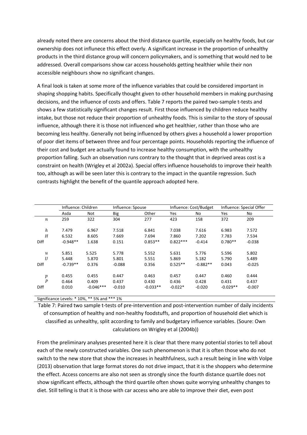already noted there are concerns about the third distance quartile, especially on healthy foods, but car ownership does not influnece this effect overly. A significant increase in the proportion of unhealthy products in the third distance group will concern policymakers, and is something that would ned to be addressed. Overall comparisons show car access households getting healthier while their non accessible neighbours show no significant changes.

A final look is taken at some more of the influence variables that could be considered important in shaping shopping habits. Specifically thought given to other household members in making purchasing decisions, and the influence of costs and offers. Table 7 reports the paired two-sample t-tests and shows a few statistically significant changes result. First those influenced by children reduce healthy intake, but those not reduce their proportion of unhealthy foods. This is similar to the story of spousal influence, although there it is those not influenced who get healthier, rather than those who are becoming less healthy. Generally not being influenced by others gives a household a lower proportion of poor diet items of between three and four percentage points. Households reporting the influence of their cost and budget are actually found to increase healthy consumption, with the unhealthy proportion falling. Such an observation runs contrary to the thought that in deprived areas cost is a constraint on health (Wrigley et al 2002a). Special offers influence households to improve their health too, although as will be seen later this is contrary to the impact in the quantile regression. Such contrasts highlight the benefit of the quantile approach adopted here.

|                  | Influence: Children |             |            | Influence: Spouse |            | Influence: Cost/Budget | Influence: Special Offer |          |
|------------------|---------------------|-------------|------------|-------------------|------------|------------------------|--------------------------|----------|
|                  | Asda                | Not         | <b>Big</b> | Other             | <b>Yes</b> | No                     | <b>Yes</b>               | No       |
| $\boldsymbol{n}$ | 259                 | 322         | 304        | 277               | 423        | 158                    | 372                      | 209      |
| $\boldsymbol{h}$ | 7.479               | 6.967       | 7.518      | 6.841             | 7.038      | 7.616                  | 6.983                    | 7.572    |
| H                | 6.532               | 8.605       | 7.669      | 7.694             | 7.860      | 7.202                  | 7.783                    | 7.534    |
| Diff             | $-0.948**$          | 1.638       | 0.151      | $0.853**$         | $0.822***$ | $-0.414$               | $0.780**$                | $-0.038$ |
| $\boldsymbol{u}$ | 5.851               | 5.525       | 5.778      | 5.552             | 5.631      | 5.776                  | 5.596                    | 5.802    |
| U                | 5.448               | 5.870       | 5.801      | 5.551             | 5.869      | 5.182                  | 5.790                    | 5.489    |
| Diff             | $-0.739**$          | 0.376       | $-0.088$   | 0.356             | $0.525**$  | $-0.882**$             | 0.043                    | $-0.025$ |
| $\boldsymbol{p}$ | 0.455               | 0.455       | 0.447      | 0.463             | 0.457      | 0.447                  | 0.460                    | 0.444    |
| $\boldsymbol{P}$ | 0.464               | 0.409       | 0.437      | 0.430             | 0.436      | 0.428                  | 0.431                    | 0.437    |
| Diff             | 0.010               | $-0.046***$ | $-0.010$   | $-0.033**$        | $-0.022*$  | $-0.020$               | $-0.029**$               | $-0.007$ |

Significance Levels: \* 10%, \*\* 5% and \*\*\* 1%

Table 7: Paired two sample t-tests of pre-intervention and post-intervention number of daily incidents of consumption of healthy and non-healthy foodstuffs, and proportion of household diet which is classified as unhealthy, split according to family and budgetary influence variables. (Soure: Own calculations on Wrigley et al (2004b))

From the preliminary analyses presented here it is clear that there many potential stories to tell about each of the newly constructed variables. One such phenomenon is that it is often those who do not switch to the new store that show the increases in healthfulness, such a result being in line with Volpe (2013) observation that large format stores do not drive impact, that it is the shoppers who determine the effect. Access concerns are also not seen as strongly since the fourth distance quartile does not show significant effects, although the third quartile often shows quite worrying unhealthy changes to diet. Still telling is that it is those with car access who are able to improve their diet, even post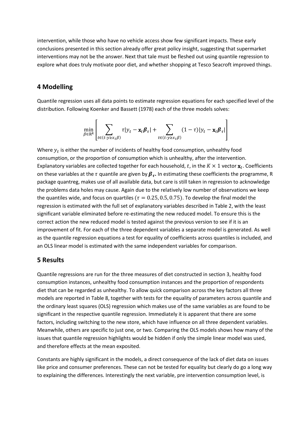intervention, while those who have no vehicle access show few significant impacts. These early conclusions presented in this section already offer great policy insight, suggesting that supermarket interventions may not be the answer. Next that tale must be fleshed out using quantile regression to explore what does truly motivate poor diet, and whether shopping at Tesco Seacroft improved things.

## **4 Modelling**

Quantile regression uses all data points to estimate regression equations for each specified level of the distribution. Following Koenker and Bassett (1978) each of the three models solves:

$$
\min_{\beta \in \mathbb{R}^k} \left[ \sum_{t \in (t:y \ge x_t \beta)} \tau |y_t - \mathbf{x}_t \boldsymbol{\beta}_\tau| + \sum_{t \in (t:y \ge x_t \beta)} (1-\tau) |y_t - \mathbf{x}_t \boldsymbol{\beta}_\tau| \right]
$$

Where  $y_t$  is either the number of incidents of healthy food consumption, unhealthy food consumption, or the proportion of consumption which is unhealthy, after the intervention. Explanatory variables are collected together for each household, t, in the  $K \times 1$  vector  $\mathbf{x}_t$ . Coefficients on these variables at the  $\tau$  quantile are given by  $\boldsymbol{\beta}_{\tau}.$  In estimating these coefficients the programme, R package quantreg, makes use of all available data, but care is still taken in regression to acknowledge the problems data holes may cause. Again due to the relatively low number of observations we keep the quantiles wide, and focus on quartiles ( $\tau = 0.25, 0.5, 0.75$ ). To develop the final model the regression is estimated with the full set of explanatory variables described in Table 2, with the least significant variable eliminated before re-estimating the new reduced model. To ensure this is the correct action the new reduced model is tested against the previous version to see if it is an improvement of fit. For each of the three dependent variables a separate model is generated. As well as the quantile regression equations a test for equality of coefficients across quantiles is included, and an OLS linear model is estimated with the same independent variables for comparison.

## **5 Results**

Quantile regressions are run for the three measures of diet constructed in section 3, healthy food consumption instances, unhealthy food consumption instances and the proportion of respondents diet that can be regarded as unhealthy. To allow quick comparison across the key factors all three models are reported in Table 8, together with tests for the equality of parameters across quantile and the ordinary least squares (OLS) regression which makes use of the same variables as are found to be significant in the respective quantile regression. Immediately it is apparent that there are some factors, including switching to the new store, which have influence on all three dependent variables. Meanwhile, others are specific to just one, or two. Comparing the OLS models shows how many of the issues that quantile regression highlights would be hidden if only the simple linear model was used, and therefore effects at the mean exposited.

Constants are highly significant in the models, a direct consequence of the lack of diet data on issues like price and consumer preferences. These can not be tested for equality but clearly do go a long way to explaining the differences. Interestingly the next variable, pre intervention consumption level, is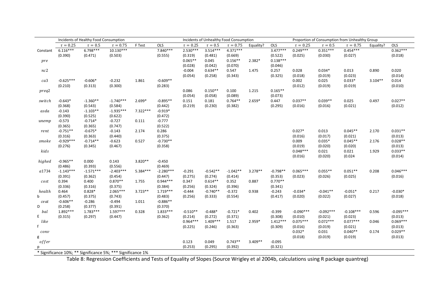|             | Incidents of Healthy Food Consumption<br>Incidents of Unhealthy Food Consumption |              |                                                             |            |             |               | Proportion of Consumption from Unhealthy Group |               |           |            |               |             |               |           |             |
|-------------|----------------------------------------------------------------------------------|--------------|-------------------------------------------------------------|------------|-------------|---------------|------------------------------------------------|---------------|-----------|------------|---------------|-------------|---------------|-----------|-------------|
|             | $\tau = 0.25$                                                                    | $\tau = 0.5$ | $\tau = 0.75$                                               | F Test     | OLS         | $\tau = 0.25$ | $\tau=0.5$                                     | $\tau = 0.75$ | Equality? | OLS        | $\tau = 0.25$ | $\tau=0.5$  | $\tau = 0.75$ | Equality? | OLS         |
| Constant    | $6.116***$                                                                       | $6.798***$   | $10.130***$                                                 |            | 7.840***    | $2.530***$    | $3.514***$                                     | $4.371***$    |           | $3.477***$ | $0.249***$    | $0.351***$  | $0.454***$    |           | $0.362***$  |
|             | (0.390)                                                                          | (0.471)      | (0.503)                                                     |            | (0.555)     | (0.319)       | (0.481)                                        | (0.669)       |           | (0.522)    | (0.025)       | (0.030)     | (0.027)       |           | (0.018)     |
| pre         |                                                                                  |              |                                                             |            |             | $0.065**$     | 0.045                                          | $0.156**$     | $2.382*$  | $0.138***$ |               |             |               |           |             |
|             |                                                                                  |              |                                                             |            |             | (0.028)       | (0.042)                                        | (0.070)       |           | (0.046)    |               |             |               |           |             |
| nc2         |                                                                                  |              |                                                             |            |             | $-0.004$      | $0.634**$                                      | 0.547         | 1.475     | 0.257      | 0.028         | $0.034*$    | 0.013         | 0.890     | 0.020       |
|             |                                                                                  |              |                                                             |            |             | (0.054)       | (0.258)                                        | (0.343)       |           | (0.325)    | (0.018)       | (0.019)     | (0.023)       |           | (0.014)     |
| ca3         | $-0.625***$                                                                      | $-0.606*$    | $-0.232$                                                    | 1.861      | $-0.609**$  |               |                                                |               |           |            | 0.002         | 0.025       | $0.033*$      | $3.104**$ | 0.014       |
|             | (0.210)                                                                          | (0.313)      | (0.300)                                                     |            | (0.283)     |               |                                                |               |           |            | (0.012)       | (0.019)     | (0.019)       |           | (0.010)     |
| preq2       |                                                                                  |              |                                                             |            |             | 0.086         | $0.150**$                                      | 0.100         | 1.215     | $0.165**$  |               |             |               |           |             |
|             |                                                                                  |              |                                                             |            |             | (0.054)       | (0.058)                                        | (0.089)       |           | (0.073)    |               |             |               |           |             |
| switch      | $-0.643*$                                                                        | $-1.360**$   | $-1.740***$                                                 | $2.699*$   | $-0.895**$  | 0.151         | 0.181                                          | $0.764**$     | $2.659*$  | 0.447      | $0.037**$     | $0.039**$   | 0.025         | 0.497     | $0.027**$   |
|             | (0.368)                                                                          | (0.543)      | (0.584)                                                     |            | (0.442)     | (0.219)       | (0.230)                                        | (0.382)       |           | (0.295)    | (0.016)       | (0.016)     | (0.021)       |           | (0.012)     |
| asda        | $-0.143$                                                                         | $-1.103**$   | $-1.935***$                                                 | $7.322***$ | $-0.919*$   |               |                                                |               |           |            |               |             |               |           |             |
|             | (0.390)                                                                          | (0.525)      | (0.622)                                                     |            | (0.472)     |               |                                                |               |           |            |               |             |               |           |             |
| unemp       | $-0.573$                                                                         | $-0.714*$    | $-0.727$                                                    | 0.111      | $-0.777$    |               |                                                |               |           |            |               |             |               |           |             |
|             | (0.365)                                                                          | (0.365)      | (0.747)                                                     |            | (0.522)     |               |                                                |               |           |            |               |             |               |           |             |
| rent        | $-0.751**$                                                                       | $-0.675*$    | $-0.143$                                                    | 2.174      | 0.286       |               |                                                |               |           |            | $0.027*$      | 0.013       | $0.045**$     | 2.170     | $0.031**$   |
|             | (0.316)                                                                          | (0.363)      | (0.440)                                                     |            | (0.375)     |               |                                                |               |           |            | (0.016)       | (0.017)     | (0.021)       |           | (0.013)     |
| smoke       | $-0.929***$                                                                      | $-0.714**$   | $-0.623$                                                    | 0.527      | $-0.730**$  |               |                                                |               |           |            | 0.009         | $0.035*$    | $0.045**$     | 2.176     | $0.028**$   |
|             | (0.276)                                                                          | (0.345)      | (0.467)                                                     |            | (0.358)     |               |                                                |               |           |            | (0.019)       | (0.020)     | (0.020)       |           | (0.013)     |
| kids        |                                                                                  |              |                                                             |            |             |               |                                                |               |           |            | $0.048***$    | 0.021       | 0.021         | 1.929     | $0.033**$   |
|             |                                                                                  |              |                                                             |            |             |               |                                                |               |           |            | (0.016)       | (0.020)     | (0.024)       |           | (0.014)     |
| highed      | $-0.965**$                                                                       | 0.000        | 0.143                                                       | 3.820**    | $-0.450$    |               |                                                |               |           |            |               |             |               |           |             |
|             | (0.486)                                                                          | (0.393)      | (0.556)                                                     |            | (0.469)     |               |                                                |               |           |            |               |             |               |           |             |
| a1734       | $-1.143***$                                                                      | $-1.571***$  | $-2.403***$                                                 | $5.384***$ | $-2.280***$ | $-0.291$      | $-0.542**$                                     | $-1.042**$    | $3.278**$ | $-0.798**$ | $0.065***$    | $0.055**$   | $0.051**$     | 0.208     | $0.046***$  |
|             | (0.391)                                                                          | (0.362)      | (0.454)                                                     |            | (0.447)     | (0.275)       | (0.274)                                        | (0.414)       |           | (0.353)    | (0.023)       | (0.026)     | (0.025)       |           | (0.016)     |
| cost        | 0.394                                                                            | 0.400        | $0.870**$                                                   | 1.755      | $0.944***$  | 0.347         | $0.614**$                                      | 0.352         | 0.887     | $0.770**$  |               |             |               |           |             |
|             | (0.336)                                                                          | (0.316)      | (0.375)                                                     |            | (0.384)     | (0.256)       | (0.324)                                        | (0.396)       |           | (0.341)    |               |             |               |           |             |
| health      | 0.464                                                                            | $0.828*$     | $2.065***$                                                  | $3.723**$  | $1.719***$  | $-0.444$      | $-0.740**$                                     | $-0.372$      | 0.938     | $-0.243$   | $-0.034*$     | $-0.041**$  | $-0.051*$     | 0.217     | $-0.030*$   |
| $\mathbf b$ | (0.457)                                                                          | (0.375)      | (0.743)                                                     |            | (0.483)     | (0.256)       | (0.333)                                        | (0.554)       |           | (0.417)    | (0.020)       | (0.022)     | (0.027)       |           | (0.018)     |
| ceat        | $-0.606**$                                                                       | $-0.286$     | $-0.494$                                                    | 1.011      | $-0.886**$  |               |                                                |               |           |            |               |             |               |           |             |
| D           | (0.258)                                                                          | (0.377)      | (0.391)                                                     |            | (0.370)     |               |                                                |               |           |            |               |             |               |           |             |
| bal         | $1.892***$                                                                       | $1.783***$   | $1.597***$                                                  | 0.328      | $1.833***$  | $-0.510**$    | $-0.488*$                                      | $-0.721*$     | 0.402     | $-0.399$   | $-0.090***$   | $-0.092***$ | $-0.108***$   | 0.596     | $-0.095***$ |
| E           | (0.315)                                                                          | (0.297)      | (0.447)                                                     |            | (0.362)     | (0.214)       | (0.272)                                        | (0.371)       |           | (0.308)    | (0.010)       | (0.021)     | (0.023)       |           | (0.013)     |
| like        |                                                                                  |              |                                                             |            |             | $0.964***$    | $1.409***$                                     | 1.517         | 2.959*    | $1.412***$ | $0.075***$    | $0.072***$  | $0.077***$    | 0.046     | $0.069***$  |
| f           |                                                                                  |              |                                                             |            |             | (0.225)       | (0.246)                                        | (0.363)       |           | (0.309)    | (0.016)       | (0.019)     | (0.021)       |           | (0.013)     |
| conv        |                                                                                  |              |                                                             |            |             |               |                                                |               |           |            | $0.032*$      | 0.031       | $0.040**$     | 0.174     | $0.029**$   |
| g           |                                                                                  |              |                                                             |            |             |               |                                                |               |           |            | (0.018)       | (0.019)     | (0.019)       |           | (0.013)     |
| offer       |                                                                                  |              |                                                             |            |             | 0.123         | 0.049                                          | $0.743**$     | $3.409**$ | $-0.095$   |               |             |               |           |             |
| р           |                                                                                  |              |                                                             |            |             | (0.253)       | (0.295)                                        | (0.392)       |           | (0.321)    |               |             |               |           |             |
|             |                                                                                  |              | * Significance 10%; ** Significance 5%; *** Significance 1% |            |             |               |                                                |               |           |            |               |             |               |           |             |

Table 8: Regression Coefficients and Tests of Equality of Slopes (Source Wrigley et al 2004b, calculations using R package quantreg)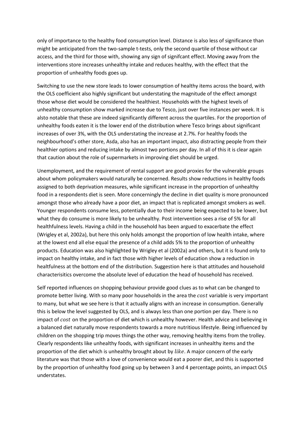only of importance to the healthy food consumption level. Distance is also less of significance than might be anticipated from the two-sample t-tests, only the second quartile of those without car access, and the third for those with, showing any sign of signifcant effect. Moving away from the interventions store increases unhealthy intake and reduces healthy, with the effect that the proportion of unhealthy foods goes up.

Switching to use the new store leads to lower consumption of healthy items across the board, with the OLS coefficient also highly significant but understating the magnitude of the effect amongst those whose diet would be considered the healthiest. Households with the highest levels of unhealthy consumption show marked increase due to Tesco, just over five instances per week. It is alsto notable that these are indeed significantly different across the quartiles. For the proportion of unhealthy foods eaten it is the lower end of the distribution where Tesco brings about significant increases of over 3%, with the OLS understating the increase at 2.7%. For healthy foods the neighbourhood's other store, Asda, also has an important impact, also distracting people from their healthier options and reducing intake by almost two portions per day. In all of this it is clear again that caution about the role of supermarkets in improving diet should be urged.

Unemployment, and the requirement of rental support are good proxies for the vulnerable groups about whom policymakers would naturally be concerned. Results show reductions in healthy foods assigned to both deprivation measures, while significant increase in the proportion of unhealthy food in a respondents diet is seen. More concerningly the decline in diet quality is more pronounced amongst those who already have a poor diet, an impact that is replicated amongst smokers as well. Younger respondents consume less, potentially due to their income being expected to be lower, but what they do consume is more likely to be unhealthy. Post intervention sees a rise of 5% for all healthfulness levels. Having a child in the household has been argued to exacerbate the effect (Wrigley et al, 2002a), but here this only holds amongst the proportion of low health intake, where at the lowest end all else equal the presence of a child adds 5% to the proportion of unhealthy products. Education was also highlighted by Wrigley et al (2002a) and others, but it is found only to impact on healthy intake, and in fact those with higher levels of education show a reduction in healtfulness at the bottom end of the distribution. Suggestion here is that attitudes and household characterisitics overcome the absolute level of education the head of household has received.

Self reported influences on shopping behaviour provide good clues as to what can be changed to promote better living. With so many poor households in the area the cost variable is very important to many, but what we see here is that it actually aligns with an increase in consumption. Generally this is below the level suggested by OLS, and is always less than one portion per day. There is no impact of cost on the proportion of diet which is unhealthy however. Health advice and believing in a balanced diet naturally move respondents towards a more nutritious lifestyle. Being influenced by children on the shopping trip moves things the other way, removing healthy items from the trolley. Clearly respondents like unhealthy foods, with significant increases in unhealthy items and the proportion of the diet which is unhealthy brought about by like. A major concern of the early literature was that those with a love of convenience would eat a poorer diet, and this is supported by the proportion of unhealthy food going up by between 3 and 4 percentage points, an impact OLS understates.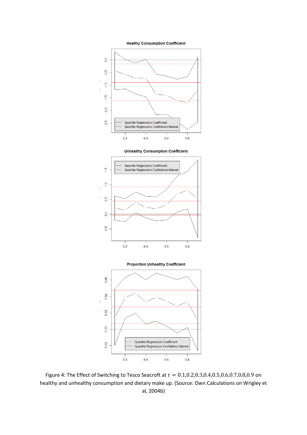







Figure 4: The Effect of Switching to Tesco Seacroft at  $\tau = 0.1, 0.2, 0.3, 0.4, 0.5, 0.6, 0.7, 0.8, 0.9$  on healthy and unhealthy consumption and dietary make up. (Source: Own Calculations on Wrigley et al, 2004b)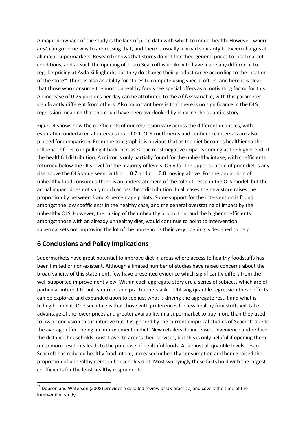A major drawback of the study is the lack of price data with which to model health. However, where cost can go some way to addressing that, and there is usually a broad similarity between charges at all major supermarkets. Research shows that stores do not flex their general prices to local market conditions, and as such the opening of Tesco Seacroft is unlikely to have made any difference to regular pricing at Asda Killingbeck, but they do change their product range according to the location of the store<sup>11</sup>. There is also an ability for stores to compete using special offers, and here it is clear that those who consume the most unhealthy foods see special offers as a motivating factor for this. An increase of 0.75 portions per day can be attributed to the  $offer$  variable, with this parameter significantly different from others. Also important here is that there is no significance in the OLS regression meaning that this could have been overlooked by ignoring the quantile story.

Figure 4 shows how the coefficients of our regression vary across the different quantiles, with estimation undertaken at intervals in  $\tau$  of 0.1. OLS coefficients and confidence intervals are also plotted for comparison. From the top graph it is obvious that as the diet becomes healthier so the influence of Tesco in pulling it back increases, the most negative impacts coming at the higher end of the healthful distribution. A mirror is only partially found for the unhealthy intake, with coefficients returned below the OLS level for the majority of levels. Only for the upper quartile of poor diet is any rise above the OLS value seen, with  $\tau = 0.7$  and  $\tau = 0.8$  moving above. For the proportion of unhealthy food consumed there is an understatement of the role of Tesco in the OLS model, but the actual impact does not vary much across the  $\tau$  distribution. In all cases the new store raises the proportion by between 3 and 4 percentage points. Some support for the intervention is found amongst the low coefficients in the healthy case, and the general overstating of impact by the unhealthy OLS. However, the raising of the unhealthy proportion, and the higher coefficients amongst those with an already unhealthy diet, would continue to point to intervention supermarkets not improving the lot of the households their very opening is designed to help.

## **6 Conclusions and Policy Implications**

<u>.</u>

Supermarkets have great potential to improve diet in areas where access to healthy foodstuffs has been limited or non-existent. Although a limited number of studies have raised concerns about the broad validity of this statement, few have presented evidence which significantly differs from the well supported improvement view. Within each aggregate story are a series of subjects which are of particular interest to policy makers and practitioners alike. Utilising quantile regression these effects can be explored and expanded upon to see just what is driving the aggregate result and what is hiding behind it. One such tale is that those with preferences for less healthy foodstuffs will take advantage of the lower prices and greater availability in a supermarket to buy more than they used to. As a conclusion this is intuitive but it is ignored by the current empirical studies of Seacroft due to the average effect being an improvement in diet. New retailers do increase convenience and reduce the distance households must travel to access their services, but this is only helpful if opening them up to more residents leads to the purchase of healthful foods. At almost all quantile levels Tesco Seacroft has reduced healthy food intake, increased unhealthy consumption and hence raised the proportion of unhealthy items in households diet. Most worryingly these facts hold with the largest coefficients for the least healthy respondents.

 $11$  Dobson and Waterson (2008) provides a detailed review of UK practice, and covers the time of the intervention study.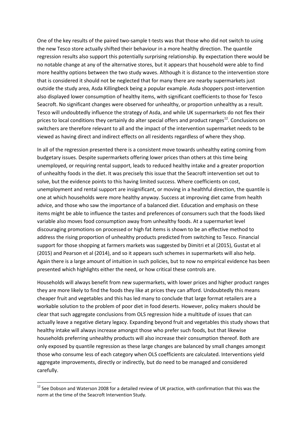One of the key results of the paired two-sample t-tests was that those who did not switch to using the new Tesco store actually shifted their behaviour in a more healthy direction. The quantile regression results also support this potentially surprising relationship. By expectation there would be no notable change at any of the alternative stores, but it appears that household were able to find more healthy options between the two study waves. Although it is distance to the intervention store that is considered it should not be neglected that for many there are nearby supermarkets just outside the study area, Asda Killingbeck being a popular example. Asda shoppers post-intervention also displayed lower consumption of healthy items, with significant coefficients to those for Tesco Seacroft. No significant changes were observed for unhealthy, or proportion unhealthy as a result. Tesco will undoubtedly influence the strategy of Asda, and while UK supermarkets do not flex their prices to local conditions they certainly do alter special offers and product ranges<sup>12</sup>. Conclusions on switchers are therefore relevant to all and the impact of the intervention supermarket needs to be viewed as having direct and indirect effects on all residents regardless of where they shop.

In all of the regression presented there is a consistent move towards unhealthy eating coming from budgetary issues. Despite supermarkets offering lower prices than others at this time being unemployed, or requiring rental support, leads to reduced healthy intake and a greater proportion of unhealthy foods in the diet. It was precisely this issue that the Seacroft intervention set out to solve, but the evidence points to this having limited success. Where coefficients on cost, unemployment and rental support are insignificant, or moving in a healthful direction, the quantile is one at which households were more healthy anyway. Success at improving diet came from health advice, and those who saw the importance of a balanced diet. Education and emphasis on these items might be able to influence the tastes and preferences of consumers such that the foods liked variable also moves food consumption away from unhealthy foods. At a supermarket level discouraging promotions on processed or high fat items is shown to be an effective method to address the rising proportion of unhealthy products predicted from switching to Tesco. Financial support for those shopping at farmers markets was suggested by Dimitri et al (2015), Gustat et al (2015) and Pearson et al (2014), and so it appears such schemes in supermarkets will also help. Again there is a large amount of intuition in such policies, but to now no empirical evidence has been presented which highlights either the need, or how critical these controls are.

Households will always benefit from new supermarkets, with lower prices and higher product ranges they are more likely to find the foods they like at prices they can afford. Undoubtedly this means cheaper fruit and vegetables and this has led many to conclude that large format retailers are a workable solution to the problem of poor diet in food deserts. However, policy makers should be clear that such aggregate conclusions from OLS regression hide a multitude of issues that can actually leave a negative dietary legacy. Expanding beyond fruit and vegetables this study shows that healthy intake will always increase amongst those who prefer such foods, but that likewise households preferring unhealthy products will also increase their consumption thereof. Both are only exposed by quantile regression as these large changes are balanced by small changes amongst those who consume less of each category when OLS coefficients are calculated. Interventions yield aggregate improvements, directly or indirectly, but do need to be managed and considered carefully.

<u>.</u>

 $12$  See Dobson and Waterson 2008 for a detailed review of UK practice, with confirmation that this was the norm at the time of the Seacroft Intervention Study.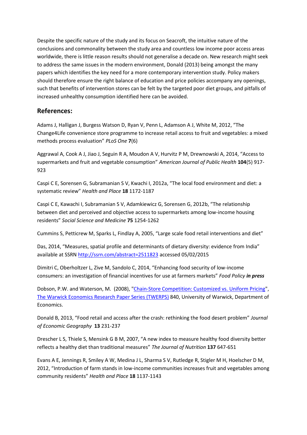Despite the specific nature of the study and its focus on Seacroft, the intuitive nature of the conclusions and commonality between the study area and countless low income poor access areas worldwide, there is little reason results should not generalise a decade on. New research might seek to address the same issues in the modern environment, Donald (2013) being amongst the many papers which identifies the key need for a more contemporary intervention study. Policy makers should therefore ensure the right balance of education and price policies accompany any openings, such that benefits of intervention stores can be felt by the targeted poor diet groups, and pitfalls of increased unhealthy consumption identified here can be avoided.

#### **References:**

Adams J, Halligan J, Burgess Watson D, Ryan V, Penn L, Adamson A J, White M, 2012, "The Change4Life convenience store programme to increase retail access to fruit and vegetables: a mixed methods process evaluation" *PLoS One* **7**(6)

Aggrawal A, Cook A J, Jiao J, Seguin R A, Moudon A V, Hurvitz P M, Drewnowski A, 2014, "Access to supermarkets and fruit and vegetable consumption" *American Journal of Public Health* **104**(5) 917- 923

Caspi C E, Sorensen G, Subramanian S V, Kwachi I, 2012a, "The local food environment and diet: a systematic review" *Health and Place* **18** 1172-1187

Caspi C E, Kawachi I, Subramanian S V, Adamkiewicz G, Sorensen G, 2012b, "The relationship between diet and perceived and objective access to supermarkets among low-income housing residents" *Social Science and Medicine* **75** 1254-1262

Cummins S, Petticrew M, Sparks L, Findlay A, 2005, "Large scale food retail interventions and diet"

Das, 2014, "Measures, spatial profile and determinants of dietary diversity: evidence from India" available at SSRN<http://ssrn.com/abstract=2511823>accessed 05/02/2015

Dimitri C, Oberholtzer L, Zive M, Sandolo C, 2014, "Enhancing food security of low-income consumers: an investigation of financial incentives for use at farmers markets" *Food Policy in press* 

Dobson, P.W. and Waterson, M. (2008), ["Chain-Store Competition: Customized vs. Uniform Pricing"](http://ideas.repec.org/p/wrk/warwec/840.html), [The Warwick Economics Research Paper Series \(TWERPS\)](http://ideas.repec.org/s/wrk/warwec.html) 840, University of Warwick, Department of Economics.

Donald B, 2013, "Food retail and access after the crash: rethinking the food desert problem" *Journal of Economic Geography* **13** 231-237

Drescher L S, Thiele S, Mensink G B M, 2007, "A new index to measure healthy food diversity better reflects a healthy diet than traditional measures" *The Journal of Nutrition* **137** 647-651

Evans A E, Jennings R, Smiley A W, Medina J L, Sharma S V, Rutledge R, Stigler M H, Hoelscher D M, 2012, "Introduction of farm stands in low-income communities increases fruit and vegetables among community residents" *Health and Place* **18** 1137-1143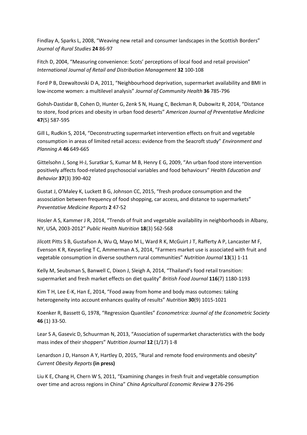Findlay A, Sparks L, 2008, "Weaving new retail and consumer landscapes in the Scottish Borders" *Journal of Rural Studies* **24** 86-97

Fitch D, 2004, "Measuring convenience: Scots' perceptions of local food and retail provision" *International Journal of Retail and Distribution Management* **32** 100-108

Ford P B, Dzewaltovski D A, 2011, "Neighbourhood deprivation, supermarket availability and BMI in low-income women: a multilevel analysis" *Journal of Community Health* **36** 785-796

Gohsh-Dastidar B, Cohen D, Hunter G, Zenk S N, Huang C, Beckman R, Dubowitz R, 2014, "Distance to store, food prices and obesity in urban food deserts" *American Journal of Preventative Medicine* **47**(5) 587-595

Gill L, Rudkin S, 2014, "Deconstructing supermarket intervention effects on fruit and vegetable consumption in areas of limited retail access: evidence from the Seacroft study" *Environment and Planning A* **46** 649-665

Gittelsohn J, Song H-J, Suratkar S, Kumar M B, Henry E G, 2009, "An urban food store intervention positively affects food-related psychosocial variables and food behaviours" *Health Education and Behavior* **37**(3) 390-402

Gustat J, O'Maley K, Luckett B G, Johnson CC, 2015, "fresh produce consumption and the assosciation between frequency of food shopping, car access, and distance to supermarkets" *Preventative Medicine Reports* **2** 47-52

Hosler A S, Kammer J R, 2014, "Trends of fruit and vegetable availability in neighborhoods in Albany, NY, USA, 2003-2012" *Public Health Nutrition* **18**(3) 562-568

Jilcott Pitts S B, Gustafson A, Wu Q, Mayo M L, Ward R K, McGuirt J T, Rafferty A P, Lancaster M F, Evenson K R, Keyserling T C, Ammerman A S, 2014, "Farmers market use is associated with fruit and vegetable consumption in diverse southern rural communities" *Nutrition Journal* **13**(1) 1-11

Kelly M, Seubsman S, Banwell C, Dixon J, Sleigh A, 2014, "Thailand's food retail transition: supermarket and fresh market effects on diet quality" *British Food Journal* **116**(7) 1180-1193

Kim T H, Lee E-K, Han E, 2014, "Food away from home and body mass outcomes: taking heterogeneity into account enhances quality of results" *Nutrition* **30**(9) 1015-1021

Koenker R, Bassett G, 1978, "Regression Quantiles" *Econometrica: Journal of the Econometric Society*  **46** (1) 33-50.

Lear S A, Gasevic D, Schuurman N, 2013, "Association of supermarket characteristics with the body mass index of their shoppers" *Nutrition Journal* **12** (1/17) 1-8

Lenardson J D, Hanson A Y, Hartley D, 2015, "Rural and remote food environments and obesity" *Current Obesity Reports* **(in press)**

Liu K E, Chang H, Chern W S, 2011, "Examining changes in fresh fruit and vegetable consumption over time and across regions in China" *China Agricultural Economic Review* **3** 276-296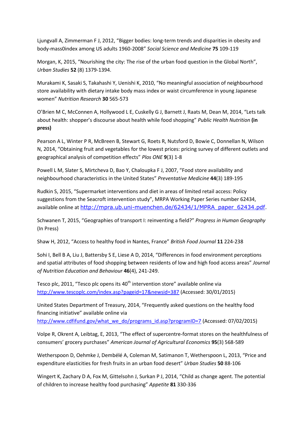Ljungvall A, Zimmerman F J, 2012, "Bigger bodies: long-term trends and disparities in obesity and body-mass0index among US adults 1960-2008" *Social Science and Medicine* **75** 109-119

Morgan, K, 2015, "Nourishing the city: The rise of the urban food question in the Global North", *Urban Studies* **52** (8) 1379-1394.

Murakami K, Sasaki S, Takahashi Y, Uenishi K, 2010, "No meaningful association of neighbourhood store availability with dietary intake body mass index or waist circumference in young Japanese women" *Nutrition Research* **30** 565-573

O'Brien M C, McConnen A, Hollywood L E, Cuskelly G J, Barnett J, Raats M, Dean M, 2014, "Lets talk about health: shopper's discourse about health while food shopping" *Public Health Nutrition* **(in press)**

Pearson A L, Winter P R, McBreen B, Stewart G, Roets R, Nutsford D, Bowie C, Donnellan N, Wilson N, 2014, "Obtaining fruit and vegetables for the lowest prices: pricing survey of different outlets and geographical analysis of competition effects" *Plos ONE* **9**(3) 1-8

Powell L M, Slater S, Mirtcheva D, Bao Y, Chaloupka F J, 2007, "Food store availability and neighbourhood characteristics in the United States" *Preventative Medicine* **44**(3) 189-195

Rudkin S, 2015, "Supermarket interventions and diet in areas of limited retail access: Policy suggestions from the Seacroft intervention study", MRPA Working Paper Series number 62434, available online at [http://mpra.ub.uni-muenchen.de/62434/1/MPRA\\_paper\\_62434.pdf.](http://mpra.ub.uni-muenchen.de/62434/1/MPRA_paper_62434.pdf)

Schwanen T, 2015, "Geographies of transport I: reinventing a field?" *Progress in Human Geography*  (In Press)

Shaw H, 2012, "Access to healthy food in Nantes, France" *British Food Journal* **11** 224-238

Sohi I, Bell B A, Liu J, Battersby S E, Liese A D, 2014, "Differences in food environment perceptions and spatial attributes of food shopping between residents of low and high food access areas" *Journal of Nutrition Education and Behaviour* **46**(4), 241-249.

Tesco plc, 2011, "Tesco plc opens its  $40<sup>th</sup>$  intervention store" available online via <http://www.tescoplc.com/index.asp?pageid=17&newsid=387>(Accessed: 30/01/2015)

United States Department of Treasury, 2014, "Frequently asked questions on the healthy food financing initiative" available online via [http://www.cdfifund.gov/what\\_we\\_do/programs\\_id.asp?programID=7 \(](http://www.cdfifund.gov/what_we_do/programs_id.asp?programID=7)Accessed: 07/02/2015)

Volpe R, Okrent A, Leibtag, E, 2013, "The effect of supercentre-format stores on the healthfulness of consumers' grocery purchases" *American Journal of Agricultural Economics* **95**(3) 568-589

Wetherspoon D, Oehmke J, Dembélé A, Coleman M, Satimanon T, Wetherspoon L, 2013, "Price and expenditure elasticities for fresh fruits in an urban food desert" *Urban Studies* **50** 88-106

Wingert K, Zachary D A, Fox M, Gittelsohn J, Surkan P J, 2014, "Child as change agent. The potential of children to increase healthy food purchasing" *Appetite* **81** 330-336